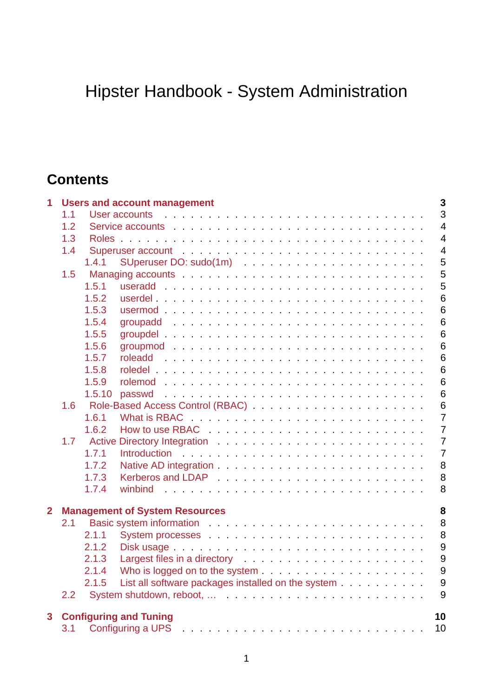# Hipster Handbook - System Administration

# **Contents**

| 1              | 3<br><b>Users and account management</b><br>3                                                                                                                                                                                        |        |                                                                                                                                                                                                                                |                 |  |  |  |  |  |  |  |
|----------------|--------------------------------------------------------------------------------------------------------------------------------------------------------------------------------------------------------------------------------------|--------|--------------------------------------------------------------------------------------------------------------------------------------------------------------------------------------------------------------------------------|-----------------|--|--|--|--|--|--|--|
|                | User accounts in the contract of the contract of the contract of the contract of the contract of the contract of the contract of the contract of the contract of the contract of the contract of the contract of the contract<br>1.1 |        |                                                                                                                                                                                                                                |                 |  |  |  |  |  |  |  |
|                | 1.2                                                                                                                                                                                                                                  |        |                                                                                                                                                                                                                                |                 |  |  |  |  |  |  |  |
|                | 1.3                                                                                                                                                                                                                                  |        |                                                                                                                                                                                                                                |                 |  |  |  |  |  |  |  |
|                | 1.4                                                                                                                                                                                                                                  |        | Superuser account entering the state of the state of the state of the state of the state of the state of the state of the state of the state of the state of the state of the state of the state of the state of the state of  | $\overline{4}$  |  |  |  |  |  |  |  |
|                |                                                                                                                                                                                                                                      | 1.4.1  |                                                                                                                                                                                                                                | 5               |  |  |  |  |  |  |  |
|                | 1.5                                                                                                                                                                                                                                  |        |                                                                                                                                                                                                                                | 5               |  |  |  |  |  |  |  |
|                |                                                                                                                                                                                                                                      | 1.5.1  |                                                                                                                                                                                                                                | 5               |  |  |  |  |  |  |  |
|                |                                                                                                                                                                                                                                      | 1.5.2  |                                                                                                                                                                                                                                | $6\phantom{1}6$ |  |  |  |  |  |  |  |
|                |                                                                                                                                                                                                                                      | 1.5.3  |                                                                                                                                                                                                                                | $6\phantom{1}6$ |  |  |  |  |  |  |  |
|                |                                                                                                                                                                                                                                      | 1.5.4  |                                                                                                                                                                                                                                | $6\phantom{1}6$ |  |  |  |  |  |  |  |
|                |                                                                                                                                                                                                                                      | 1.5.5  |                                                                                                                                                                                                                                | $6\phantom{1}6$ |  |  |  |  |  |  |  |
|                |                                                                                                                                                                                                                                      | 1.5.6  |                                                                                                                                                                                                                                | $6\phantom{1}6$ |  |  |  |  |  |  |  |
|                |                                                                                                                                                                                                                                      | 1.5.7  |                                                                                                                                                                                                                                | $6\phantom{1}6$ |  |  |  |  |  |  |  |
|                |                                                                                                                                                                                                                                      | 1.5.8  |                                                                                                                                                                                                                                | $6\phantom{1}6$ |  |  |  |  |  |  |  |
|                |                                                                                                                                                                                                                                      | 1.5.9  |                                                                                                                                                                                                                                | $6\phantom{1}6$ |  |  |  |  |  |  |  |
|                |                                                                                                                                                                                                                                      | 1.5.10 |                                                                                                                                                                                                                                | $6\phantom{1}6$ |  |  |  |  |  |  |  |
|                | 1.6                                                                                                                                                                                                                                  |        |                                                                                                                                                                                                                                | $6\phantom{1}6$ |  |  |  |  |  |  |  |
|                |                                                                                                                                                                                                                                      | 1.6.1  |                                                                                                                                                                                                                                | $\overline{7}$  |  |  |  |  |  |  |  |
|                |                                                                                                                                                                                                                                      | 1.6.2  |                                                                                                                                                                                                                                | $\overline{7}$  |  |  |  |  |  |  |  |
|                | 1.7                                                                                                                                                                                                                                  |        |                                                                                                                                                                                                                                |                 |  |  |  |  |  |  |  |
|                |                                                                                                                                                                                                                                      | 1.7.1  |                                                                                                                                                                                                                                | $\overline{7}$  |  |  |  |  |  |  |  |
|                |                                                                                                                                                                                                                                      | 1.7.2  |                                                                                                                                                                                                                                | 8               |  |  |  |  |  |  |  |
|                |                                                                                                                                                                                                                                      | 1,7.3  |                                                                                                                                                                                                                                | 8               |  |  |  |  |  |  |  |
|                |                                                                                                                                                                                                                                      | 1.7.4  | winbind                                                                                                                                                                                                                        | 8               |  |  |  |  |  |  |  |
| $\overline{2}$ | 8<br><b>Management of System Resources</b>                                                                                                                                                                                           |        |                                                                                                                                                                                                                                |                 |  |  |  |  |  |  |  |
|                | 2.1                                                                                                                                                                                                                                  |        |                                                                                                                                                                                                                                | 8               |  |  |  |  |  |  |  |
|                |                                                                                                                                                                                                                                      | 2.1.1  | System processes entering the service of the service of the service of the service of the service of the service of the service of the service of the service of the service of the service of the service of the service of t | 8               |  |  |  |  |  |  |  |
|                |                                                                                                                                                                                                                                      | 2.1.2  |                                                                                                                                                                                                                                | 9               |  |  |  |  |  |  |  |
|                |                                                                                                                                                                                                                                      | 2.1.3  | Largest files in a directory entertainment of the state of the state of the state of the state of the state of                                                                                                                 | 9               |  |  |  |  |  |  |  |
|                |                                                                                                                                                                                                                                      | 2.1.4  |                                                                                                                                                                                                                                | 9               |  |  |  |  |  |  |  |
|                |                                                                                                                                                                                                                                      | 2.1.5  |                                                                                                                                                                                                                                | 9               |  |  |  |  |  |  |  |
|                | 2.2                                                                                                                                                                                                                                  |        |                                                                                                                                                                                                                                | 9               |  |  |  |  |  |  |  |
| 3              | <b>Configuring and Tuning</b><br>10                                                                                                                                                                                                  |        |                                                                                                                                                                                                                                |                 |  |  |  |  |  |  |  |
|                | 3.1                                                                                                                                                                                                                                  |        |                                                                                                                                                                                                                                | 10              |  |  |  |  |  |  |  |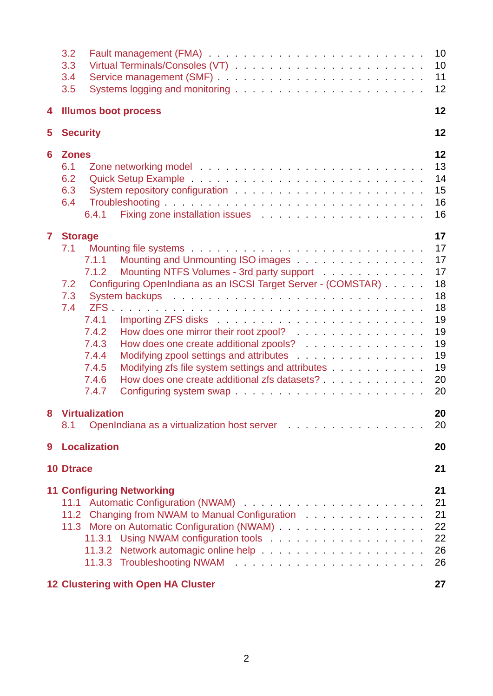|                                                                                                                                  | 3.2<br>3.3<br>3.4<br>3.5                                                                                                                                                                                                                                                                                                                                                                                                                                                                                           | 10<br>10<br>11<br>12                                                             |  |  |  |  |  |
|----------------------------------------------------------------------------------------------------------------------------------|--------------------------------------------------------------------------------------------------------------------------------------------------------------------------------------------------------------------------------------------------------------------------------------------------------------------------------------------------------------------------------------------------------------------------------------------------------------------------------------------------------------------|----------------------------------------------------------------------------------|--|--|--|--|--|
| 4                                                                                                                                | <b>Illumos boot process</b>                                                                                                                                                                                                                                                                                                                                                                                                                                                                                        | 12                                                                               |  |  |  |  |  |
| 5                                                                                                                                | <b>Security</b>                                                                                                                                                                                                                                                                                                                                                                                                                                                                                                    | 12                                                                               |  |  |  |  |  |
| 6                                                                                                                                | <b>Zones</b><br>6.1<br>6.2<br>6.3<br>6.4<br>6.4.1                                                                                                                                                                                                                                                                                                                                                                                                                                                                  | 12<br>13<br>14<br>15<br>16<br>16                                                 |  |  |  |  |  |
| $\mathbf{7}$                                                                                                                     | <b>Storage</b><br>7.1<br>Mounting and Unmounting ISO images<br>7.1.1<br>Mounting NTFS Volumes - 3rd party support<br>7.1.2<br>Configuring OpenIndiana as an ISCSI Target Server - (COMSTAR)<br>7.2<br>7.3<br>7.4<br>7.4.1<br>7.4.2<br>How does one mirror their root zpool?<br>7.4.3<br>How does one create additional zpools?<br>Modifying zpool settings and attributes<br>7.4.4<br>Modifying zfs file system settings and attributes<br>7.4.5<br>7.4.6<br>How does one create additional zfs datasets?<br>7.4.7 | 17<br>17<br>17<br>17<br>18<br>18<br>18<br>19<br>19<br>19<br>19<br>19<br>20<br>20 |  |  |  |  |  |
| 8                                                                                                                                | <b>Virtualization</b><br>OpenIndiana as a virtualization host server entertainment of the server and all the server and server and server<br>8.1                                                                                                                                                                                                                                                                                                                                                                   | 20<br>20                                                                         |  |  |  |  |  |
| 9                                                                                                                                | <b>Localization</b>                                                                                                                                                                                                                                                                                                                                                                                                                                                                                                | 20                                                                               |  |  |  |  |  |
|                                                                                                                                  | <b>10 Dtrace</b>                                                                                                                                                                                                                                                                                                                                                                                                                                                                                                   | 21                                                                               |  |  |  |  |  |
| <b>11 Configuring Networking</b><br>11.2 Changing from NWAM to Manual Configuration<br><b>12 Clustering with Open HA Cluster</b> |                                                                                                                                                                                                                                                                                                                                                                                                                                                                                                                    |                                                                                  |  |  |  |  |  |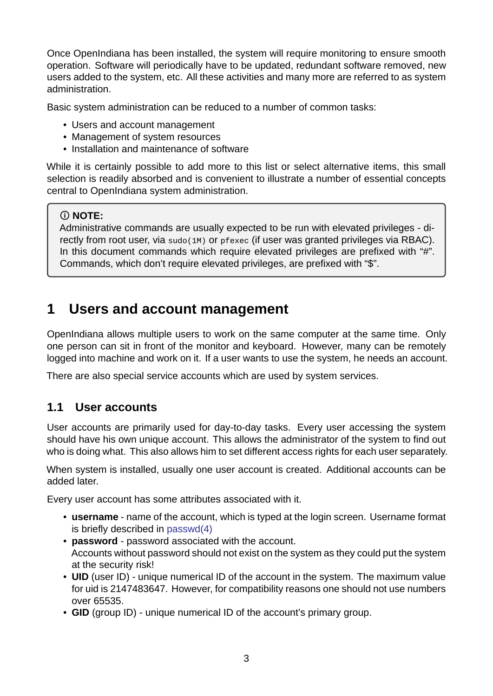Once OpenIndiana has been installed, the system will require monitoring to ensure smooth operation. Software will periodically have to be updated, redundant software removed, new users added to the system, etc. All these activities and many more are referred to as system administration.

Basic system administration can be reduced to a number of common tasks:

- Users and account management
- Management of system resources
- Installation and maintenance of software

While it is certainly possible to add more to this list or select alternative items, this small selection is readily absorbed and is convenient to illustrate a number of essential concepts central to OpenIndiana system administration.

## **NOTE:**

Administrative commands are usually expected to be run with elevated privileges - directly from root user, via sudo(1M) or pfexec (if user was granted privileges via RBAC). In this document commands which require elevated privileges are prefixed with "#". Commands, which don't require elevated privileges, are prefixed with "\$".

# **1 Users and account management**

<span id="page-2-0"></span>OpenIndiana allows multiple users to work on the same computer at the same time. Only one person can sit in front of the monitor and keyboard. However, many can be remotely logged into machine and work on it. If a user wants to use the system, he needs an account.

There are also special service accounts which are used by system services.

## **1.1 User accounts**

<span id="page-2-1"></span>User accounts are primarily used for day-to-day tasks. Every user accessing the system should have his own unique account. This allows the administrator of the system to find out who is doing what. This also allows him to set different access rights for each user separately.

When system is installed, usually one user account is created. Additional accounts can be added later.

Every user account has some attributes associated with it.

- username name of the account, which is typed at the login screen. Username format is briefly described in passwd(4)
- **password** password associated with the account. Accounts without password should not exist on the system as they could put the system at the security risk!
- **UID** (user ID) uniqu[e numerical](https://illumos.org/man/4/passwd) ID of the account in the system. The maximum value for uid is 2147483647. However, for compatibility reasons one should not use numbers over 65535.
- GID (group ID) unique numerical ID of the account's primary group.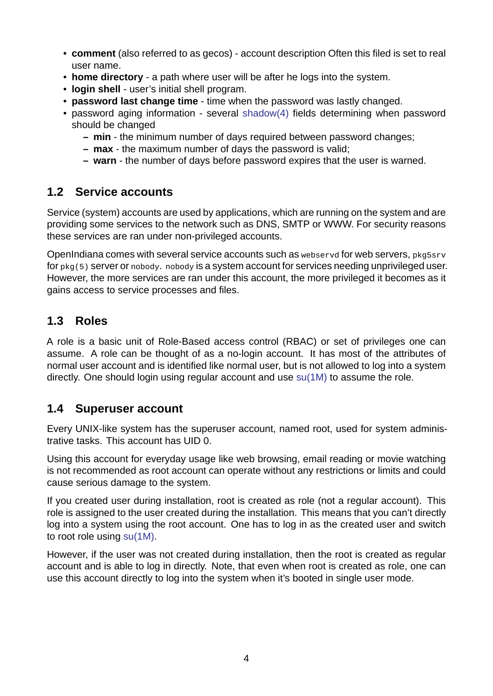- **comment** (also referred to as gecos) account description Often this filed is set to real user name.
- **home directory** a path where user will be after he logs into the system.
- **login shell** user's initial shell program.
- **password last change time** time when the password was lastly changed.
- password aging information several shadow(4) fields determining when password should be changed
	- **– min** the minimum number of days required between password changes;
	- **– max** the maximum number of da[ys the pass](https://illumos.org/man/4/shadow)word is valid;
	- **– warn** the number of days before password expires that the user is warned.

# **1.2 Service accounts**

<span id="page-3-0"></span>Service (system) accounts are used by applications, which are running on the system and are providing some services to the network such as DNS, SMTP or WWW. For security reasons these services are ran under non-privileged accounts.

OpenIndiana comes with several service accounts such as webservd for web servers, pkg5srv for pkg(5) server or nobody. nobody is a system account for services needing unprivileged user. However, the more services are ran under this account, the more privileged it becomes as it gains access to service processes and files.

# **1.3 Roles**

<span id="page-3-1"></span>A role is a basic unit of Role-Based access control (RBAC) or set of privileges one can assume. A role can be thought of as a no-login account. It has most of the attributes of normal user account and is identified like normal user, but is not allowed to log into a system directly. One should login using regular account and use su(1M) to assume the role.

# **1.4 Superuser account**

<span id="page-3-2"></span>Every UNIX-like system has the superuser account, named root, used for system administrative tasks. This account has UID 0.

Using this account for everyday usage like web browsing, email reading or movie watching is not recommended as root account can operate without any restrictions or limits and could cause serious damage to the system.

If you created user during installation, root is created as role (not a regular account). This role is assigned to the user created during the installation. This means that you can't directly log into a system using the root account. One has to log in as the created user and switch to root role using su(1M).

However, if the user was not created during installation, then the root is created as regular account and is able to log in directly. Note, that even when root is created as role, one can use this account [directly](https://illumos.org/man/1M/su) to log into the system when it's booted in single user mode.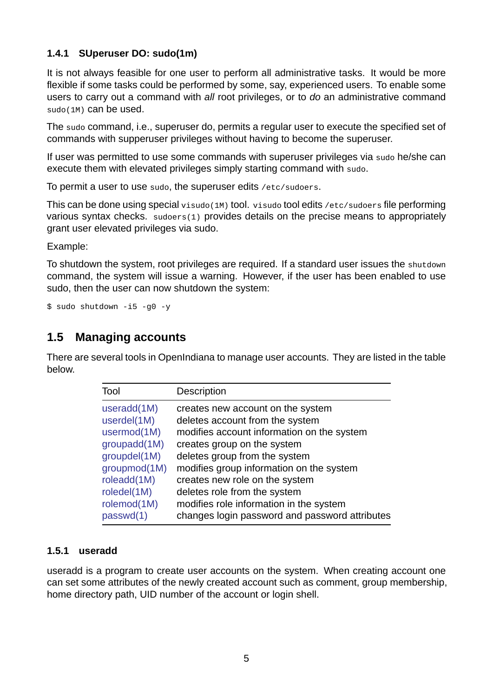### **1.4.1 SUperuser DO: sudo(1m)**

<span id="page-4-0"></span>It is not always feasible for one user to perform all administrative tasks. It would be more flexible if some tasks could be performed by some, say, experienced users. To enable some users to carry out a command with *all* root privileges, or to *do* an administrative command sudo(1M) can be used.

The sudo command, i.e., superuser do, permits a regular user to execute the specified set of commands with supperuser privileges without having to become the superuser.

If user was permitted to use some commands with superuser privileges via sudo he/she can execute them with elevated privileges simply starting command with sudo.

To permit a user to use sudo, the superuser edits /etc/sudoers.

This can be done using special visudo(1M) tool. visudo tool edits /etc/sudoers file performing various syntax checks. sudoers(1) provides details on the precise means to appropriately grant user elevated privileges via sudo.

Example:

To shutdown the system, root privileges are required. If a standard user issues the shutdown command, the system will issue a warning. However, if the user has been enabled to use sudo, then the user can now shutdown the system:

 $$$  sudo shutdown  $-15$   $-90$   $-9$ 

## **1.5 Managing accounts**

<span id="page-4-1"></span>There are several tools in OpenIndiana to manage user accounts. They are listed in the table below.

| Tool         | Description                                    |
|--------------|------------------------------------------------|
| useradd(1M)  | creates new account on the system              |
| userdel(1M)  | deletes account from the system                |
| usermod(1M)  | modifies account information on the system     |
| groupadd(1M) | creates group on the system                    |
| groupdel(1M) | deletes group from the system                  |
| groupmod(1M) | modifies group information on the system       |
| roleadd(1M)  | creates new role on the system                 |
| roledel(1M)  | deletes role from the system                   |
| rolemod(1M)  | modifies role information in the system        |
| passwd(1)    | changes login password and password attributes |

## **1.5.1 user[add](https://illumos.org/man/1/passwd)**

<span id="page-4-2"></span>useradd is a program to create user accounts on the system. When creating account one can set some attributes of the newly created account such as comment, group membership, home directory path, UID number of the account or login shell.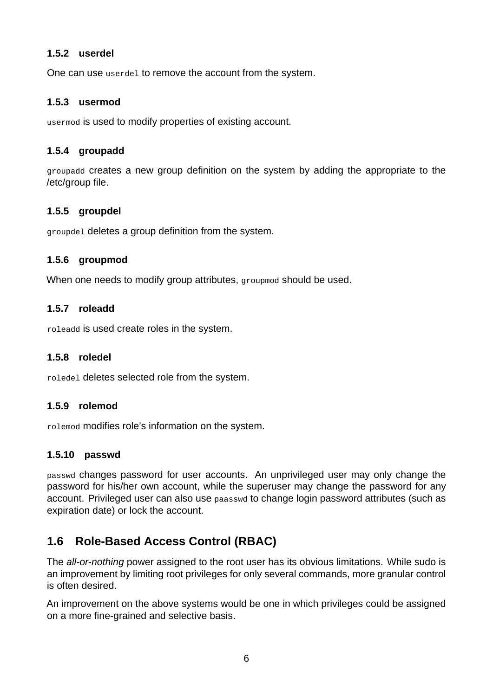### <span id="page-5-0"></span>**1.5.2 userdel**

One can use userdel to remove the account from the system.

### <span id="page-5-1"></span>**1.5.3 usermod**

usermod is used to modify properties of existing account.

### <span id="page-5-2"></span>**1.5.4 groupadd**

groupadd creates a new group definition on the system by adding the appropriate to the /etc/group file.

### <span id="page-5-3"></span>**1.5.5 groupdel**

groupdel deletes a group definition from the system.

### <span id="page-5-4"></span>**1.5.6 groupmod**

When one needs to modify group attributes, groupmod should be used.

### <span id="page-5-5"></span>**1.5.7 roleadd**

roleadd is used create roles in the system.

### <span id="page-5-6"></span>**1.5.8 roledel**

roledel deletes selected role from the system.

### <span id="page-5-7"></span>**1.5.9 rolemod**

rolemod modifies role's information on the system.

### <span id="page-5-8"></span>**1.5.10 passwd**

passwd changes password for user accounts. An unprivileged user may only change the password for his/her own account, while the superuser may change the password for any account. Privileged user can also use paasswd to change login password attributes (such as expiration date) or lock the account.

# <span id="page-5-9"></span>1.6 Role-Based Access Control (RBAC)

The *all-or-nothing* power assigned to the root user has its obvious limitations. While sudo is an improvement by limiting root privileges for only several commands, more granular control is often desired.

An improvement on the above systems would be one in which privileges could be assigned on a more fine-grained and selective basis.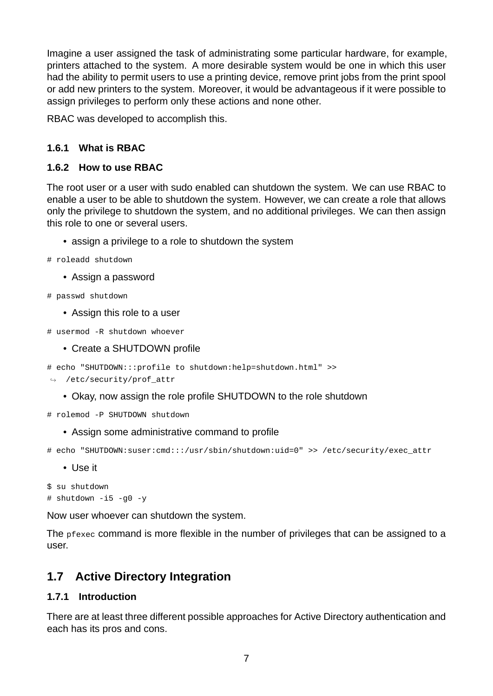Imagine a user assigned the task of administrating some particular hardware, for example, printers attached to the system. A more desirable system would be one in which this user had the ability to permit users to use a printing device, remove print jobs from the print spool or add new printers to the system. Moreover, it would be advantageous if it were possible to assign privileges to perform only these actions and none other.

RBAC was developed to accomplish this.

## <span id="page-6-0"></span>**1.6.1 What is RBAC**

### <span id="page-6-1"></span>**1.6.2 How to use RBAC**

The root user or a user with sudo enabled can shutdown the system. We can use RBAC to enable a user to be able to shutdown the system. However, we can create a role that allows only the privilege to shutdown the system, and no additional privileges. We can then assign this role to one or several users.

- assign a privilege to a role to shutdown the system
- # roleadd shutdown
	- Assign a password
- # passwd shutdown
	- Assign this role to a user
- $#$  usermod -R shutdown whoever
	- Create a SHUTDOWN profile
- # echo "SHUTDOWN:::profile to shutdown:help=shutdown.html" >>
- ↪ /etc/security/prof\_attr
	- Okay, now assign the role profile SHUTDOWN to the role shutdown
- # rolemod -P SHUTDOWN shutdown
	- Assign some administrative command to profile

# echo "SHUTDOWN:suser:cmd:::/usr/sbin/shutdown:uid=0" >> /etc/security/exec\_attr

• Use it

```
$ su shutdown
# shutdown -i5 -g0 -y
```
Now user whoever can shutdown the system.

The pfexec command is more flexible in the number of privileges that can be assigned to a user.

## <span id="page-6-2"></span>**1.7 Active Directory Integration**

### <span id="page-6-3"></span>**1.7.1 Introduction**

There are at least three different possible approaches for Active Directory authentication and each has its pros and cons.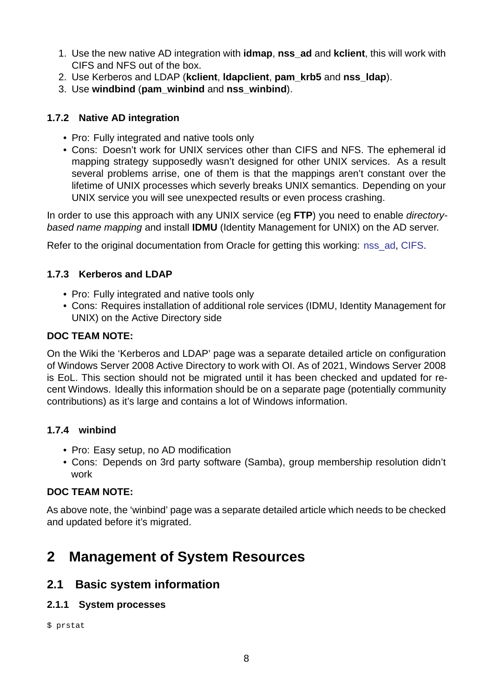- 1. Use the new native AD integration with **idmap**, **nss\_ad** and **kclient**, this will work with CIFS and NFS out of the box.
- 2. Use Kerberos and LDAP (**kclient**, **ldapclient**, **pam\_krb5** and **nss\_ldap**).
- 3. Use **windbind** (**pam\_winbind** and **nss\_winbind**).

## **1.7.2 Native AD integration**

- Pro: Fully integrated and native tools only
- <span id="page-7-0"></span>• Cons: Doesn't work for UNIX services other than CIFS and NFS. The ephemeral id mapping strategy supposedly wasn't designed for other UNIX services. As a result several problems arrise, one of them is that the mappings aren't constant over the lifetime of UNIX processes which severly breaks UNIX semantics. Depending on your UNIX service you will see unexpected results or even process crashing.

In order to use this approach with any UNIX service (eg **FTP**) you need to enable *directorybased name mapping* and install **IDMU** (Identity Management for UNIX) on the AD server.

Refer to the original documentation from Oracle for getting this working: nss\_ad, CIFS.

### **1.7.3 Kerberos and LDAP**

- Pro: Fully integrated and native tools only
- <span id="page-7-1"></span>• Cons: Requires installation of additional role services (IDMU, Identity Management for UNIX) on the Active Directory side

### **DOC TEAM NOTE:**

On the Wiki the 'Kerberos and LDAP' page was a separate detailed article on configuration of Windows Server 2008 Active Directory to work with OI. As of 2021, Windows Server 2008 is EoL. This section should not be migrated until it has been checked and updated for recent Windows. Ideally this information should be on a separate page (potentially community contributions) as it's large and contains a lot of Windows information.

## **1.7.4 winbind**

- Pro: Easy setup, no AD modification
- <span id="page-7-2"></span>• Cons: Depends on 3rd party software (Samba), group membership resolution didn't work

## **DOC TEAM NOTE:**

As above note, the 'winbind' page was a separate detailed article which needs to be checked and updated before it's migrated.

# **2 Management of System Resources**

## <span id="page-7-3"></span>**2.1 Basic system information**

### **2.1.1 System processes**

<span id="page-7-5"></span><span id="page-7-4"></span>\$ prstat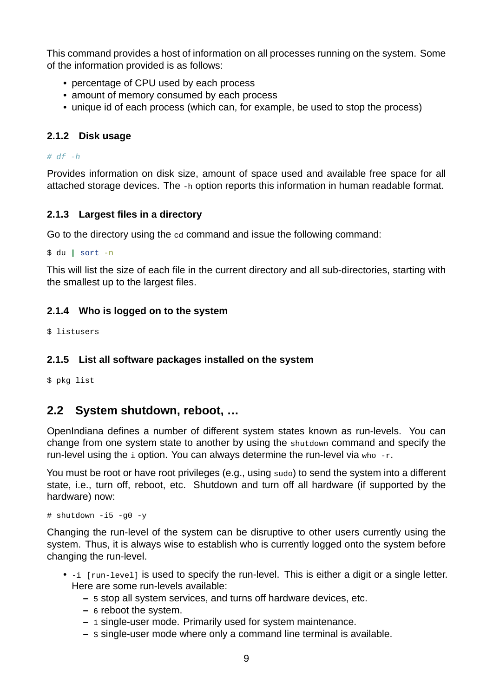This command provides a host of information on all processes running on the system. Some of the information provided is as follows:

- percentage of CPU used by each process
- amount of memory consumed by each process
- unique id of each process (which can, for example, be used to stop the process)

### <span id="page-8-0"></span>**2.1.2 Disk usage**

*# df h*

Provides information on disk size, amount of space used and available free space for all attached storage devices. The -h option reports this information in human readable format.

### <span id="page-8-1"></span>**2.1.3 Largest files in a directory**

Go to the directory using the cd command and issue the following command:

\$ du | sort -n

This will list the size of each file in the current directory and all sub-directories, starting with the smallest up to the largest files.

### <span id="page-8-2"></span>**2.1.4 Who is logged on to the system**

\$ listusers

### <span id="page-8-3"></span>**2.1.5 List all software packages installed on the system**

\$ pkg list

## <span id="page-8-4"></span>**2.2 System shutdown, reboot, …**

OpenIndiana defines a number of different system states known as run-levels. You can change from one system state to another by using the shutdown command and specify the run-level using the  $\pm$  option. You can always determine the run-level via who  $-$ r.

You must be root or have root privileges (e.g., using sudo) to send the system into a different state, i.e., turn off, reboot, etc. Shutdown and turn off all hardware (if supported by the hardware) now:

 $#$  shutdown -i5 -g0 -y

Changing the run-level of the system can be disruptive to other users currently using the system. Thus, it is always wise to establish who is currently logged onto the system before changing the run-level.

- -i [run-level] is used to specify the run-level. This is either a digit or a single letter. Here are some run-levels available:
	- **–** 5 stop all system services, and turns off hardware devices, etc.
	- **–** 6 reboot the system.
	- $-$  1 single-user mode. Primarily used for system maintenance.
	- **–** s single-user mode where only a command line terminal is available.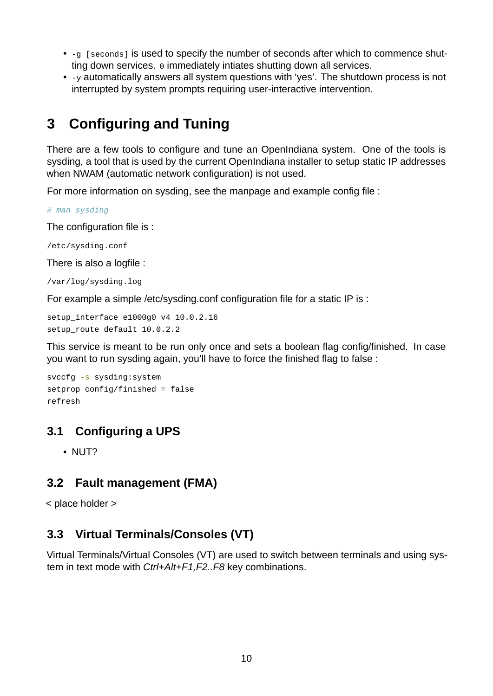- - g [seconds] is used to specify the number of seconds after which to commence shutting down services. 0 immediately intiates shutting down all services.
- y automatically answers all system questions with 'yes'. The shutdown process is not interrupted by system prompts requiring user-interactive intervention.

# **3 Configuring and Tuning**

There are a few tools to configure and tune an OpenIndiana system. One of the tools is sysding, a tool that is used by the current OpenIndiana installer to setup static IP addresses when NWAM (automatic network configuration) is not used.

For more information on sysding, see the manpage and example config file :

*# man sysding*

The configuration file is :

/etc/sysding.conf

There is also a logfile :

/var/log/sysding.log

For example a simple /etc/sysding.conf configuration file for a static IP is :

setup\_interface e1000g0 v4 10.0.2.16 setup route default 10.0.2.2

This service is meant to be run only once and sets a boolean flag config/finished. In case you want to run sysding again, you'll have to force the finished flag to false :

```
svccfq -s sysding: system
setprop config/finished = false
refresh
```
## **3.1 Configuring a UPS**

• NUT?

## <span id="page-9-0"></span>**3.2 Fault management (FMA)**

< place holder >

# <span id="page-9-1"></span>**3.3 Virtual Terminals/Consoles (VT)**

Virtual Terminals/Virtual Consoles (VT) are used to switch between terminals and using system in text mode with *Ctrl+Alt+F1,F2..F8* key combinations.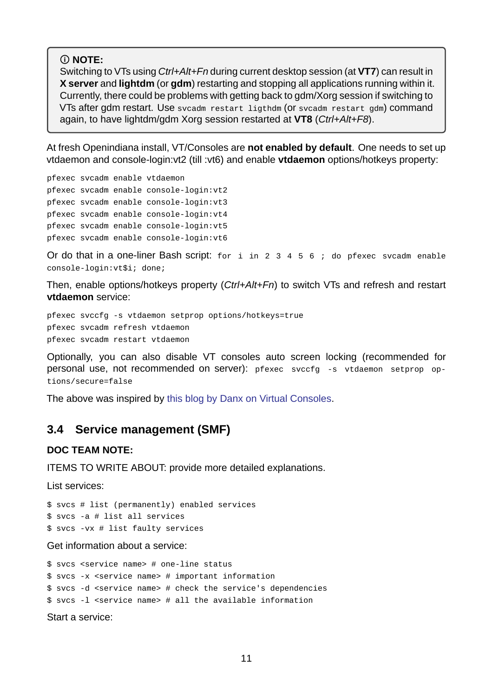#### **NOTE:**

Switching to VTs using *Ctrl+Alt+Fn* during current desktop session (at **VT7**) can result in **X server** and **lightdm** (or **gdm**) restarting and stopping all applications running within it. Currently, there could be problems with getting back to gdm/Xorg session if switching to VTs after gdm restart. Use svcadm restart ligthdm (or svcadm restart gdm) command again, to have lightdm/gdm Xorg session restarted at **VT8** (*Ctrl+Alt+F8*).

At fresh Openindiana install, VT/Consoles are **not enabled by default**. One needs to set up vtdaemon and console-login:vt2 (till :vt6) and enable **vtdaemon** options/hotkeys property:

pfexec svcadm enable vtdaemon pfexec svcadm enable console-login:vt2 pfexec svcadm enable console-login:vt3 pfexec svcadm enable console-login:vt4 pfexec svcadm enable console-login:vt5 pfexec svcadm enable console-login:vt6

Or do that in a one-liner Bash script: for i in 2 3 4 5 6 ; do pfexec svcadm enable console-login:vt\$i; done;

Then, enable options/hotkeys property (*Ctrl+Alt+Fn*) to switch VTs and refresh and restart **vtdaemon** service:

pfexec svccfg -s vtdaemon setprop options/hotkeys=true pfexec svcadm refresh vtdaemon pfexec svcadm restart vtdaemon

Optionally, you can also disable VT consoles auto screen locking (recommended for personal use, not recommended on server): pfexec svccfg -s vtdaemon setprop options/secure=false

The above was inspired by this blog by Danx on Virtual Consoles.

## **3.4 Service manage[ment \(SMF\)](https://web.archive.org/web/20160424040330/https://blogs.oracle.com/DanX/entry/solaris_virtual_consoles)**

#### **DOC TEAM NOTE:**

<span id="page-10-0"></span>ITEMS TO WRITE ABOUT: provide more detailed explanations.

List services:

\$ svcs # list (permanently) enabled services \$ svcs a # list all services  $$$  svcs -vx # list faulty services

Get information about a service:

\$ svcs <service name> # one-line status  $$$  svcs -x <service name> # important information \$ svcs -d <service name> # check the service's dependencies  $$$  svcs -1 <service name> # all the available information

Start a service: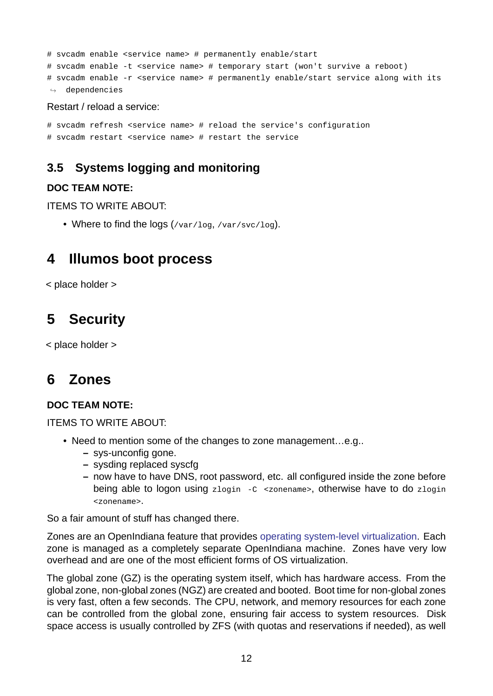```
# svcadm enable <service name> # permanently enable/start
# svcadm enable -t <service name> # temporary start (won't survive a reboot)
# svcadm enable -r <service name> # permanently enable/start service along with its
ightharpoonup dependencies
```
#### Restart / reload a service:

```
# svcadm refresh <service name> # reload the service's configuration
# svcadm restart <service name> # restart the service
```
# **3.5 Systems logging and monitoring**

### **DOC TEAM NOTE:**

<span id="page-11-0"></span>ITEMS TO WRITE ABOUT:

• Where to find the logs (/var/log, /var/svc/log).

# **4 Illumos boot process**

<span id="page-11-1"></span>< place holder >

# **5 Security**

<span id="page-11-2"></span>< place holder >

# **6 Zones**

## <span id="page-11-3"></span>**DOC TEAM NOTE:**

ITEMS TO WRITE ABOUT:

- Need to mention some of the changes to zone management...e.g..
	- **–** sys-unconfig gone.
	- **–** sysding replaced syscfg
	- **–** now have to have DNS, root password, etc. all configured inside the zone before being able to logon using  $z$ login  $-c$  <zonename>, otherwise have to do zlogin <zonename>.

So a fair amount of stuff has changed there.

Zones are an OpenIndiana feature that provides operating system-level virtualization. Each zone is managed as a completely separate OpenIndiana machine. Zones have very low overhead and are one of the most efficient forms of OS virtualization.

The global zone (GZ) is the operating system its[elf, which has hardware access. Fro](http://www.wikipedia.org/wiki/Operating_system-level_virtualization)m the global zone, non-global zones (NGZ) are created and booted. Boot time for non-global zones is very fast, often a few seconds. The CPU, network, and memory resources for each zone can be controlled from the global zone, ensuring fair access to system resources. Disk space access is usually controlled by ZFS (with quotas and reservations if needed), as well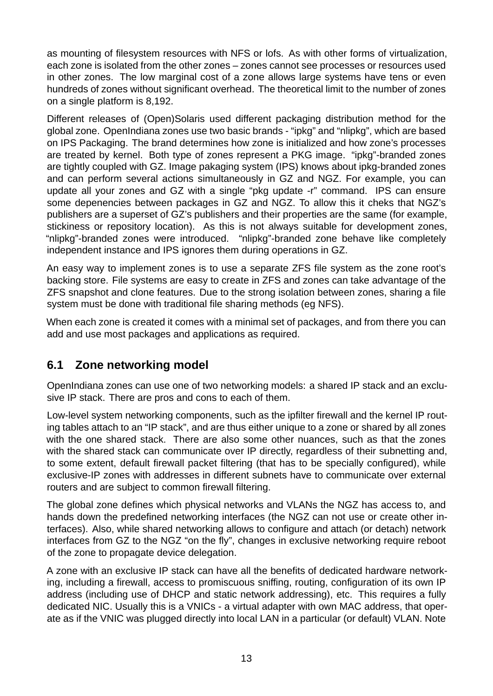as mounting of filesystem resources with NFS or lofs. As with other forms of virtualization, each zone is isolated from the other zones – zones cannot see processes or resources used in other zones. The low marginal cost of a zone allows large systems have tens or even hundreds of zones without significant overhead. The theoretical limit to the number of zones on a single platform is 8,192.

Different releases of (Open)Solaris used different packaging distribution method for the global zone. OpenIndiana zones use two basic brands "ipkg" and "nlipkg", which are based on IPS Packaging. The brand determines how zone is initialized and how zone's processes are treated by kernel. Both type of zones represent a PKG image. "ipkg"-branded zones are tightly coupled with GZ. Image pakaging system (IPS) knows about ipkg-branded zones and can perform several actions simultaneously in GZ and NGZ. For example, you can update all your zones and GZ with a single "pkg update -r" command. IPS can ensure some depenencies between packages in GZ and NGZ. To allow this it cheks that NGZ's publishers are a superset of GZ's publishers and their properties are the same (for example, stickiness or repository location). As this is not always suitable for development zones, "nlipkg"-branded zones were introduced. "nlipkg"-branded zone behave like completely independent instance and IPS ignores them during operations in GZ.

An easy way to implement zones is to use a separate ZFS file system as the zone root's backing store. File systems are easy to create in ZFS and zones can take advantage of the ZFS snapshot and clone features. Due to the strong isolation between zones, sharing a file system must be done with traditional file sharing methods (eg NFS).

When each zone is created it comes with a minimal set of packages, and from there you can add and use most packages and applications as required.

# <span id="page-12-0"></span>**6.1 Zone networking model**

OpenIndiana zones can use one of two networking models: a shared IP stack and an exclusive IP stack. There are pros and cons to each of them.

Low-level system networking components, such as the ipfilter firewall and the kernel IP routing tables attach to an "IP stack", and are thus either unique to a zone or shared by all zones with the one shared stack. There are also some other nuances, such as that the zones with the shared stack can communicate over IP directly, regardless of their subnetting and, to some extent, default firewall packet filtering (that has to be specially configured), while exclusive-IP zones with addresses in different subnets have to communicate over external routers and are subject to common firewall filtering.

The global zone defines which physical networks and VLANs the NGZ has access to, and hands down the predefined networking interfaces (the NGZ can not use or create other interfaces). Also, while shared networking allows to configure and attach (or detach) network interfaces from GZ to the NGZ "on the fly", changes in exclusive networking require reboot of the zone to propagate device delegation.

A zone with an exclusive IP stack can have all the benefits of dedicated hardware networking, including a firewall, access to promiscuous sniffing, routing, configuration of its own IP address (including use of DHCP and static network addressing), etc. This requires a fully dedicated NIC. Usually this is a VNICs - a virtual adapter with own MAC address, that operate as if the VNIC was plugged directly into local LAN in a particular (or default) VLAN. Note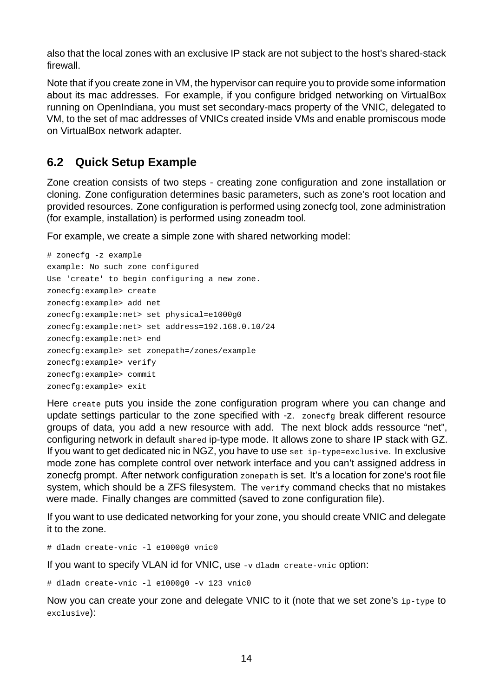also that the local zones with an exclusive IP stack are not subject to the host's shared-stack firewall.

Note that if you create zone in VM, the hypervisor can require you to provide some information about its mac addresses. For example, if you configure bridged networking on VirtualBox running on OpenIndiana, you must set secondarymacs property of the VNIC, delegated to VM, to the set of mac addresses of VNICs created inside VMs and enable promiscous mode on VirtualBox network adapter.

# <span id="page-13-0"></span>**6.2 Quick Setup Example**

Zone creation consists of two steps creating zone configuration and zone installation or cloning. Zone configuration determines basic parameters, such as zone's root location and provided resources. Zone configuration is performed using zonecfg tool, zone administration (for example, installation) is performed using zoneadm tool.

For example, we create a simple zone with shared networking model:

```
# zonecfg -z example
example: No such zone configured
Use 'create' to begin configuring a new zone.
zonecfg:example> create
zonecfg:example> add net
zonecfg:example:net> set physical=e1000g0
zonecfg:example:net> set address=192.168.0.10/24
zonecfg:example:net> end
zonecfg:example> set zonepath=/zones/example
zonecfg:example> verify
zonecfg:example> commit
zonecfg:example> exit
```
Here create puts you inside the zone configuration program where you can change and update settings particular to the zone specified with -z. zonecfg break different resource groups of data, you add a new resource with add. The next block adds ressource "net", configuring network in default shared ip-type mode. It allows zone to share IP stack with GZ. If you want to get dedicated nic in NGZ, you have to use set  $ip-type$ =exclusive. In exclusive mode zone has complete control over network interface and you can't assigned address in zonecfg prompt. After network configuration zonepath is set. It's a location for zone's root file system, which should be a ZFS filesystem. The verify command checks that no mistakes were made. Finally changes are committed (saved to zone configuration file).

If you want to use dedicated networking for your zone, you should create VNIC and delegate it to the zone.

# dladm create-vnic -1 e1000g0 vnic0

If you want to specify VLAN id for VNIC, use -v dladm create-vnic option:

# dladm create-vnic  $-1$  e1000g0  $-v$  123 vnic0

Now you can create your zone and delegate VNIC to it (note that we set zone's ip-type to exclusive):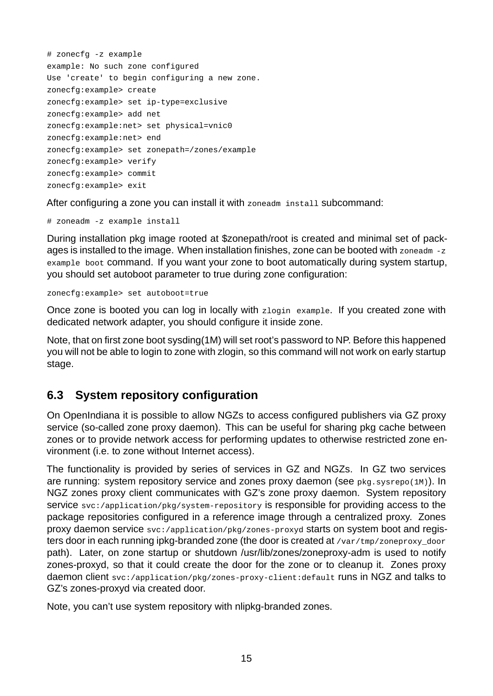```
# zonecfg -z example
example: No such zone configured
Use 'create' to begin configuring a new zone.
zonecfg:example> create
zonecfg:example> set ip-type=exclusive
zonecfg:example> add net
zonecfg:example:net> set physical=vnic0
zonecfg:example:net> end
zonecfg:example> set zonepath=/zones/example
zonecfg:example> verify
zonecfg:example> commit
zonecfg:example> exit
```
After configuring a zone you can install it with zoneadm install subcommand:

# zoneadm -z example install

During installation pkg image rooted at \$zonepath/root is created and minimal set of packages is installed to the image. When installation finishes, zone can be booted with zoneadm -z example boot command. If you want your zone to boot automatically during system startup, you should set autoboot parameter to true during zone configuration:

zonecfg:example> set autoboot=true

Once zone is booted you can log in locally with zlogin example. If you created zone with dedicated network adapter, you should configure it inside zone.

Note, that on first zone boot sysding(1M) will set root's password to NP. Before this happened you will not be able to login to zone with zlogin, so this command will not work on early startup stage.

## <span id="page-14-0"></span>**6.3 System repository configuration**

On OpenIndiana it is possible to allow NGZs to access configured publishers via GZ proxy service (so-called zone proxy daemon). This can be useful for sharing pkg cache between zones or to provide network access for performing updates to otherwise restricted zone environment (i.e. to zone without Internet access).

The functionality is provided by series of services in GZ and NGZs. In GZ two services are running: system repository service and zones proxy daemon (see pkg.sysrepo(1M)). In NGZ zones proxy client communicates with GZ's zone proxy daemon. System repository service svc:/application/pkg/system-repository is responsible for providing access to the package repositories configured in a reference image through a centralized proxy. Zones proxy daemon service svc:/application/pkg/zones-proxyd starts on system boot and registers door in each running ipkg-branded zone (the door is created at /var/tmp/zoneproxy\_door path). Later, on zone startup or shutdown /usr/lib/zones/zoneproxy-adm is used to notify zones-proxyd, so that it could create the door for the zone or to cleanup it. Zones proxy daemon client svc:/application/pkg/zones-proxy-client:default runs in NGZ and talks to GZ's zones-proxyd via created door.

Note, you can't use system repository with nlipkg-branded zones.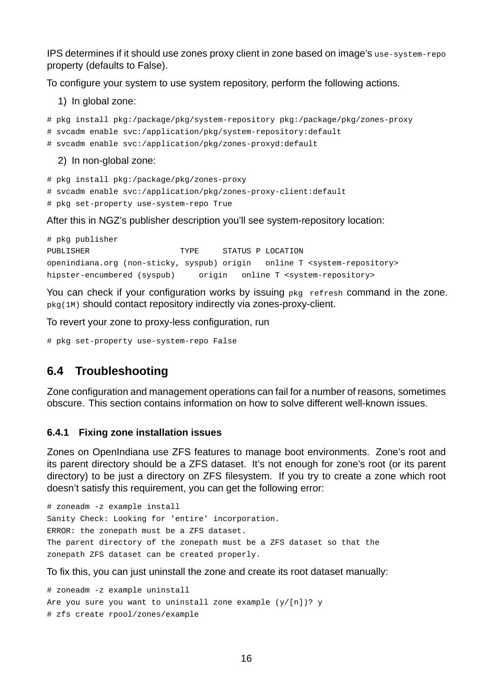IPS determines if it should use zones proxy client in zone based on image's use-system-repo property (defaults to False).

To configure your system to use system repository, perform the following actions.

- 1) In global zone:
- # pkg install pkg:/package/pkg/system-repository pkg:/package/pkg/zones-proxy
- # svcadm enable svc:/application/pkg/system-repository:default
- # svcadm enable svc:/application/pkg/zones-proxyd:default

2) In non-global zone:

- # pkg install pkg:/package/pkg/zones-proxy
- # svcadm enable svc:/application/pkg/zones-proxy-client:default
- # pkg set-property use-system-repo True

After this in NGZ's publisher description you'll see system-repository location:

```
# pkg publisher
PUBLISHER TYPE STATUS P LOCATION
openindiana.org (non-sticky, syspub) origin online T <system-repository>
hipster-encumbered (syspub) origin online T <system-repository>
```
You can check if your configuration works by issuing pkg refresh command in the zone. pkg(1M) should contact repository indirectly via zones-proxy-client.

To revert your zone to proxy-less configuration, run

# pkg set-property use-system-repo False

## <span id="page-15-0"></span>**6.4 Troubleshooting**

Zone configuration and management operations can fail for a number of reasons, sometimes obscure. This section contains information on how to solve different well-known issues.

#### <span id="page-15-1"></span>**6.4.1 Fixing zone installation issues**

Zones on OpenIndiana use ZFS features to manage boot environments. Zone's root and its parent directory should be a ZFS dataset. It's not enough for zone's root (or its parent directory) to be just a directory on ZFS filesystem. If you try to create a zone which root doesn't satisfy this requirement, you can get the following error:

```
# zoneadm -z example install
Sanity Check: Looking for 'entire' incorporation.
ERROR: the zonepath must be a ZFS dataset.
The parent directory of the zonepath must be a ZFS dataset so that the
zonepath ZFS dataset can be created properly.
```
To fix this, you can just uninstall the zone and create its root dataset manually:

```
# zoneadm -z example uninstall
Are you sure you want to uninstall zone example (y/[n])? y
# zfs create rpool/zones/example
```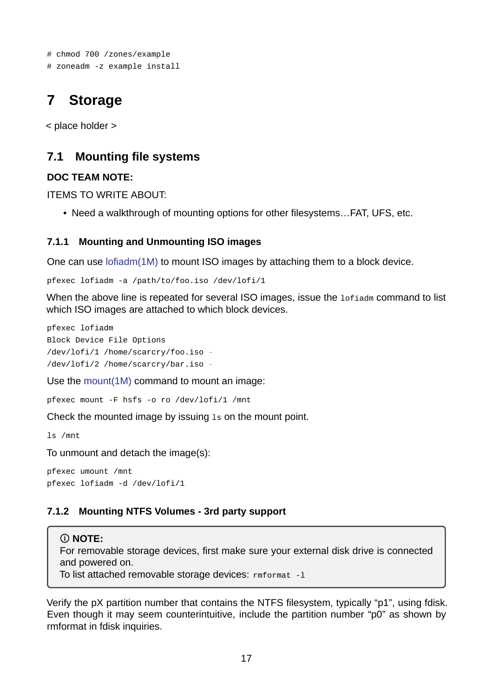```
# chmod 700 /zones/example
# zoneadm -z example install
```
# **7 Storage**

<span id="page-16-0"></span>< place holder >

# **7.1 Mounting file systems**

### **DOC TEAM NOTE:**

<span id="page-16-1"></span>ITEMS TO WRITE ABOUT:

• Need a walkthrough of mounting options for other filesystems…FAT, UFS, etc.

### **7.1.1 Mounting and Unmounting ISO images**

One can use lofiadm(1M) to mount ISO images by attaching them to a block device.

<span id="page-16-2"></span>pfexec lofiadm -a /path/to/foo.iso /dev/lofi/1

When the ab[ove line is re](https://illumos.org/man/1M/lofiadm)peated for several ISO images, issue the **Lofiadm** command to list which ISO images are attached to which block devices.

pfexec lofiadm Block Device File Options /dev/lofi/1 /home/scarcry/foo.iso /dev/lofi/2 /home/scarcry/bar.iso

Use the mount(1M) command to mount an image:

pfexec mount -F hsfs -o ro /dev/lofi/1 /mnt

Check t[he mounted](https://illumos.org/man/1M/mount) image by issuing ls on the mount point.

ls /mnt

To unmount and detach the image(s):

pfexec umount /mnt pfexec lofiadm -d /dev/lofi/1

## **7.1.2 Mounting NTFS Volumes 3rd party support**

## **NOTE:**

<span id="page-16-3"></span>For removable storage devices, first make sure your external disk drive is connected and powered on.

To list attached removable storage devices:  $rm$ rmformat  $-1$ 

Verify the pX partition number that contains the NTFS filesystem, typically "p1", using fdisk. Even though it may seem counterintuitive, include the partition number "p0" as shown by rmformat in fdisk inquiries.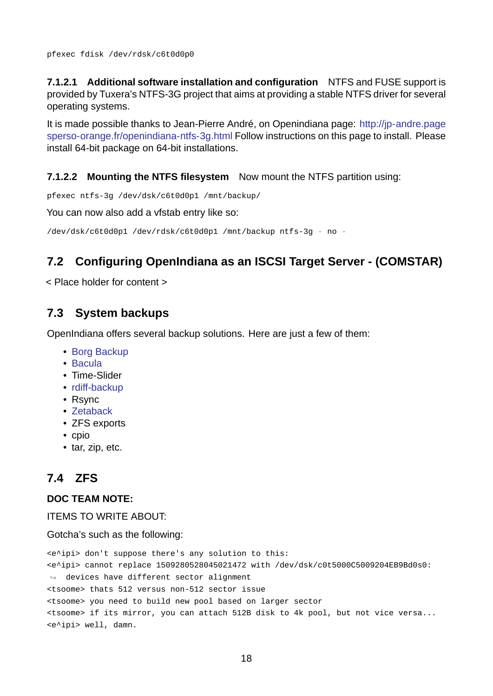**7.1.2.1 Additional software installation and configuration** NTFS and FUSE support is provided by Tuxera's NTFS-3G project that aims at providing a stable NTFS driver for several operating systems.

It is made possible thanks to Jean-Pierre André, on Openindiana page: http://jp-andre.page sperso-orange.fr/openindiana-ntfs-3g.html Follow instructions on this page to install. Please install 64-bit package on 64-bit installations.

### **[7.1.2.2 Mounting the NTFS filesystem](http://jp-andre.pagesperso-orange.fr/openindiana-ntfs-3g.html)** Now mount the NTFS partition using:

pfexec ntfs-3g /dev/dsk/c6t0d0p1 /mnt/backup/

You can now also add a vfstab entry like so:

/dev/dsk/c6t0d0p1 /dev/rdsk/c6t0d0p1 /mnt/backup ntfs-3g - no -

# **7.2 Configuring OpenIndiana as an ISCSI Target Server (COMSTAR)**

<span id="page-17-0"></span>< Place holder for content >

# **7.3 System backups**

<span id="page-17-1"></span>OpenIndiana offers several backup solutions. Here are just a few of them:

- Borg Backup
- Bacula
- Time-Slider
- $\cdot$  rdiff-backup
- [Rsync](http://blog.bacula.org/)
- Zetaback
- [ZFS exports](http://www.nongnu.org/rdiff-backup/)
- cpio
- [tar, zip, et](https://labs.omniti.com/labs/zetaback)c.

# **7.4 ZFS**

### **DOC TEAM NOTE:**

<span id="page-17-2"></span>ITEMS TO WRITE ABOUT:

Gotcha's such as the following:

<e^ipi> don't suppose there's any solution to this: <e^ipi> cannot replace 1509280528045021472 with /dev/dsk/c0t5000C5009204EB9Bd0s0:  $\leftrightarrow$  devices have different sector alignment <tsoome> thats 512 versus non-512 sector issue <tsoome> you need to build new pool based on larger sector <tsoome> if its mirror, you can attach 512B disk to 4k pool, but not vice versa... <e^ipi> well, damn.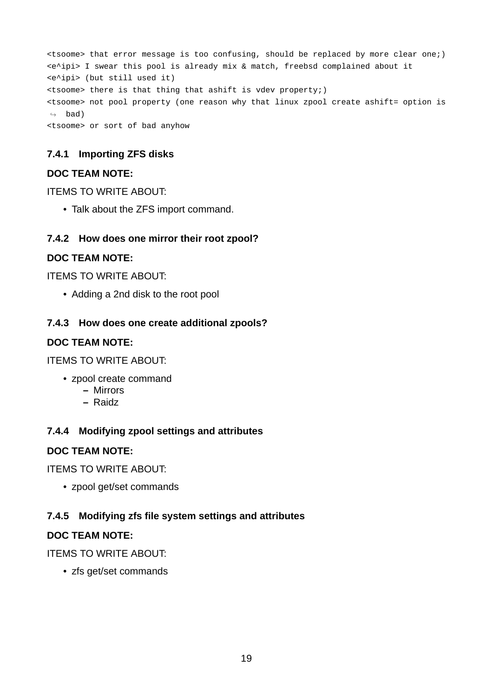<tsoome> that error message is too confusing, should be replaced by more clear one;) <e^ipi> I swear this pool is already mix & match, freebsd complained about it <e^ipi> (but still used it) <tsoome> there is that thing that ashift is vdev property;) <tsoome> not pool property (one reason why that linux zpool create ashift= option is  $ightharpoonup$  bad) <tsoome> or sort of bad anyhow

## <span id="page-18-0"></span>**7.4.1 Importing ZFS disks**

### **DOC TEAM NOTE:**

ITEMS TO WRITE ABOUT:

• Talk about the ZFS import command.

### <span id="page-18-1"></span>**7.4.2 How does one mirror their root zpool?**

### **DOC TEAM NOTE:**

ITEMS TO WRITE ABOUT:

• Adding a 2nd disk to the root pool

### <span id="page-18-2"></span>**7.4.3 How does one create additional zpools?**

### **DOC TEAM NOTE:**

ITEMS TO WRITE ABOUT:

- zpool create command
	- **–** Mirrors
	- **–** Raidz

## <span id="page-18-3"></span>**7.4.4 Modifying zpool settings and attributes**

### **DOC TEAM NOTE:**

ITEMS TO WRITE ABOUT:

• zpool get/set commands

## <span id="page-18-4"></span>**7.4.5 Modifying zfs file system settings and attributes**

### **DOC TEAM NOTE:**

### ITEMS TO WRITE ABOUT:

• zfs get/set commands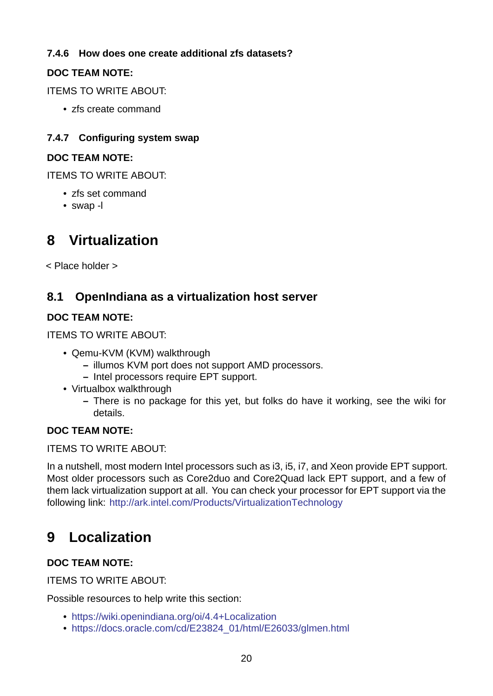## **7.4.6 How does one create additional zfs datasets?**

## **DOC TEAM NOTE:**

<span id="page-19-0"></span>ITEMS TO WRITE ABOUT:

• zfs create command

## **7.4.7 Configuring system swap**

## **DOC TEAM NOTE:**

<span id="page-19-1"></span>ITEMS TO WRITE ABOUT:

- zfs set command
- $\cdot$  swap -l

# **8 Virtualization**

<span id="page-19-2"></span>< Place holder >

# **8.1 OpenIndiana as a virtualization host server**

## **DOC TEAM NOTE:**

<span id="page-19-3"></span>ITEMS TO WRITE ABOUT:

- Qemu-KVM (KVM) walkthrough
	- **–** illumos KVM port does not support AMD processors.
	- **–** Intel processors require EPT support.
- Virtualbox walkthrough
	- **–** There is no package for this yet, but folks do have it working, see the wiki for details.

### **DOC TEAM NOTE:**

ITEMS TO WRITE ABOUT:

In a nutshell, most modern Intel processors such as i3, i5, i7, and Xeon provide EPT support. Most older processors such as Core2duo and Core2Quad lack EPT support, and a few of them lack virtualization support at all. You can check your processor for EPT support via the following link: http://ark.intel.com/Products/VirtualizationTechnology

# **9 Local[ization](http://ark.intel.com/Products/VirtualizationTechnology)**

## <span id="page-19-4"></span>**DOC TEAM NOTE:**

ITEMS TO WRITE ABOUT:

Possible resources to help write this section:

- https://wiki.openindiana.org/oi/4.4+Localization
- https://docs.oracle.com/cd/E23824\_01/html/E26033/glmen.html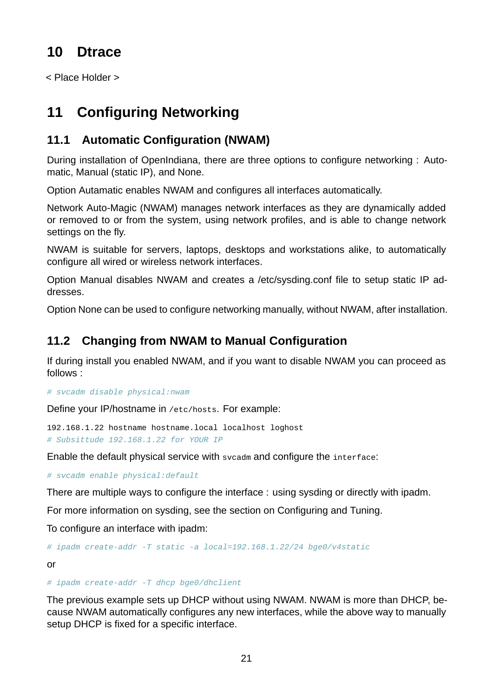# <span id="page-20-0"></span>**10 Dtrace**

< Place Holder >

# <span id="page-20-1"></span>**11 Configuring Networking**

# <span id="page-20-2"></span>**11.1 Automatic Configuration (NWAM)**

During installation of OpenIndiana, there are three options to configure networking : Automatic, Manual (static IP), and None.

Option Autamatic enables NWAM and configures all interfaces automatically.

Network Auto-Magic (NWAM) manages network interfaces as they are dynamically added or removed to or from the system, using network profiles, and is able to change network settings on the fly.

NWAM is suitable for servers, laptops, desktops and workstations alike, to automatically configure all wired or wireless network interfaces.

Option Manual disables NWAM and creates a /etc/sysding.conf file to setup static IP addresses.

Option None can be used to configure networking manually, without NWAM, after installation.

# <span id="page-20-3"></span>**11.2 Changing from NWAM to Manual Configuration**

If during install you enabled NWAM, and if you want to disable NWAM you can proceed as follows :

*# svcadm disable physical:nwam*

Define your IP/hostname in /etc/hosts. For example:

192.168.1.22 hostname hostname.local localhost loghost *# Subsittude 192.168.1.22 for YOUR IP*

Enable the default physical service with svcadm and configure the interface:

*# svcadm enable physical:default*

There are multiple ways to configure the interface : using sysding or directly with ipadm.

For more information on sysding, see the section on Configuring and Tuning.

To configure an interface with ipadm:

# ipadm create-addr -T static -a local=192.168.1.22/24 bge0/v4static

or

### # ipadm create-addr -T dhcp bge0/dhclient

The previous example sets up DHCP without using NWAM. NWAM is more than DHCP, because NWAM automatically configures any new interfaces, while the above way to manually setup DHCP is fixed for a specific interface.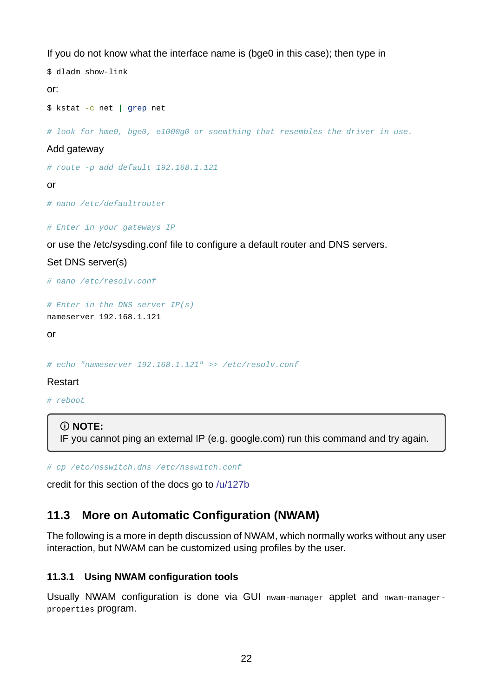If you do not know what the interface name is (bge0 in this case); then type in

```
$ dladm show-link
or:
$ kstat -c net | grep net
```
*# look for hme0, bge0, e1000g0 or soemthing that resembles the driver in use.*

#### Add gateway

```
# route p add default 192.168.1.121
```
or

*# nano /etc/defaultrouter*

*# Enter in your gateways IP*

or use the /etc/sysding.conf file to configure a default router and DNS servers.

Set DNS server(s)

```
# nano /etc/resolv.conf
```
*# Enter in the DNS server IP(s)* nameserver 192.168.1.121

or

*# echo "nameserver 192.168.1.121" >> /etc/resolv.conf*

#### Restart

*# reboot*

#### **NOTE:**

IF you cannot ping an external IP (e.g. google.com) run this command and try again.

*# cp /etc/nsswitch.dns /etc/nsswitch.conf*

credit for this section of the docs go to /u/127b

## **11.3 More on Automatic Con[figurat](https://www.reddit.com/user/127b)ion (NWAM)**

<span id="page-21-0"></span>The following is a more in depth discussion of NWAM, which normally works without any user interaction, but NWAM can be customized using profiles by the user.

### **11.3.1 Using NWAM configuration tools**

<span id="page-21-1"></span>Usually NWAM configuration is done via GUI nwam-manager applet and nwam-managerproperties program.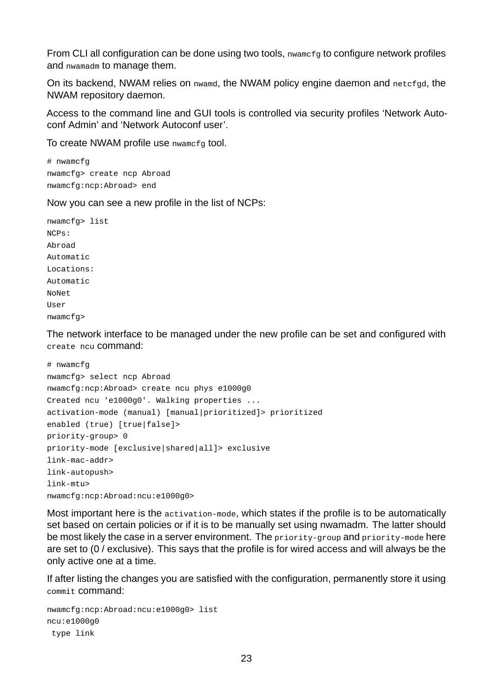From CLI all configuration can be done using two tools, nwamcfg to configure network profiles and nwamadm to manage them.

On its backend, NWAM relies on nwamd, the NWAM policy engine daemon and netcfgd, the NWAM repository daemon.

Access to the command line and GUI tools is controlled via security profiles 'Network Autoconf Admin' and 'Network Autoconf user'.

To create NWAM profile use nwamcfg tool.

# nwamcfg nwamcfg> create ncp Abroad nwamcfg:ncp:Abroad> end

Now you can see a new profile in the list of NCPs:

nwamcfg> list NCPs: Abroad Automatic Locations: Automatic NoNet User nwamcfg>

The network interface to be managed under the new profile can be set and configured with create ncu command:

```
# nwamcfg
nwamcfg> select ncp Abroad
nwamcfg:ncp:Abroad> create ncu phys e1000g0
Created ncu 'e1000g0'. Walking properties ...
activation-mode (manual) [manual|prioritized]> prioritized
enabled (true) [true|false]>
priority-group > 0priority-mode [exclusive|shared|all]> exclusive
link-mac-addr>
link-autopush>
link-mtu>nwamcfg:ncp:Abroad:ncu:e1000g0>
```
Most important here is the activation-mode, which states if the profile is to be automatically set based on certain policies or if it is to be manually set using nwamadm. The latter should be most likely the case in a server environment. The priority-group and priority-mode here are set to (0 / exclusive). This says that the profile is for wired access and will always be the only active one at a time.

If after listing the changes you are satisfied with the configuration, permanently store it using commit command:

nwamcfg:ncp:Abroad:ncu:e1000g0> list ncu:e1000g0 type link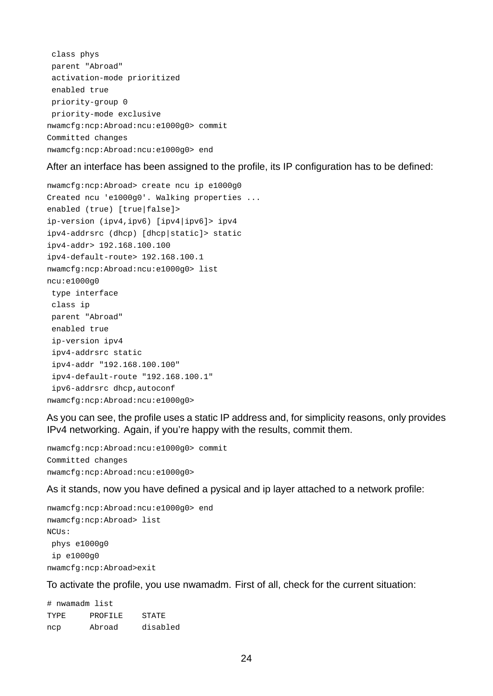class phys parent "Abroad" activation-mode prioritized enabled true  $priority-group 0$ priority-mode exclusive nwamcfg:ncp:Abroad:ncu:e1000g0> commit Committed changes nwamcfg:ncp:Abroad:ncu:e1000g0> end

After an interface has been assigned to the profile, its IP configuration has to be defined:

nwamcfg:ncp:Abroad> create ncu ip e1000g0 Created ncu 'e1000g0'. Walking properties ... enabled (true) [true|false]> ip-version (ipv4,ipv6) [ipv4|ipv6]> ipv4 ipv4addrsrc (dhcp) [dhcp|static]> static ipv4-addr> 192.168.100.100 ipv4-default-route> 192.168.100.1 nwamcfg:ncp:Abroad:ncu:e1000g0> list ncu:e1000g0 type interface class ip parent "Abroad" enabled true ip-version ipv4 ipv4-addrsrc static ipv4-addr "192.168.100.100" ipv4-default-route "192.168.100.1" ipv6-addrsrc dhcp, autoconf nwamcfg:ncp:Abroad:ncu:e1000g0>

As you can see, the profile uses a static IP address and, for simplicity reasons, only provides IPv4 networking. Again, if you're happy with the results, commit them.

nwamcfg:ncp:Abroad:ncu:e1000g0> commit Committed changes nwamcfg:ncp:Abroad:ncu:e1000g0>

As it stands, now you have defined a pysical and ip layer attached to a network profile:

```
nwamcfg:ncp:Abroad:ncu:e1000g0> end
nwamcfg:ncp:Abroad> list
NCUs:
 phys e1000g0
 ip e1000g0
nwamcfg:ncp:Abroad>exit
```
To activate the profile, you use nwamadm. First of all, check for the current situation:

# nwamadm list TYPE PROFILE STATE ncp Abroad disabled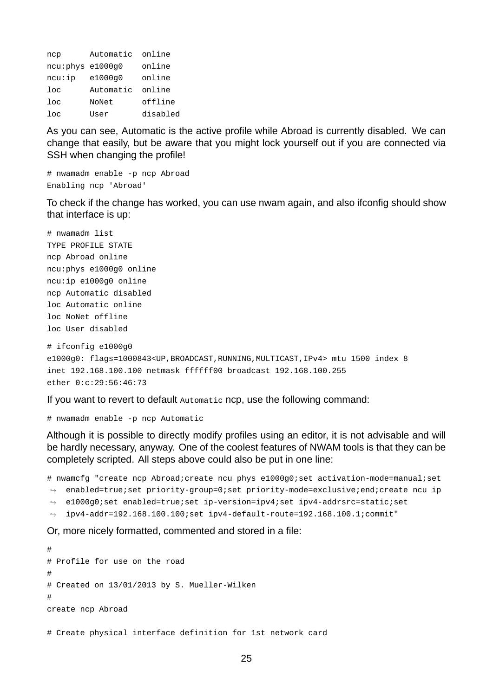| ncp               | Automatic | online   |
|-------------------|-----------|----------|
| ncu: phys e1000g0 |           | online   |
| ncu:ip            | e1000g0   | online   |
| $_{\text{loc}}$   | Automatic | online   |
| 10 <sub>c</sub>   | NoNet     | offline  |
| 10 <sub>c</sub>   | User      | disabled |

As you can see, Automatic is the active profile while Abroad is currently disabled. We can change that easily, but be aware that you might lock yourself out if you are connected via SSH when changing the profile!

# nwamadm enable -p ncp Abroad Enabling ncp 'Abroad'

To check if the change has worked, you can use nwam again, and also ifconfig should show that interface is up:

# nwamadm list TYPE PROFILE STATE ncp Abroad online ncu:phys e1000g0 online ncu:ip e1000g0 online ncp Automatic disabled loc Automatic online loc NoNet offline loc User disabled

```
# ifconfig e1000g0
e1000g0: flags=1000843<UP,BROADCAST,RUNNING,MULTICAST,IPv4> mtu 1500 index 8
inet 192.168.100.100 netmask ffffff00 broadcast 192.168.100.255
ether 0:c:29:56:46:73
```
If you want to revert to default Automatic ncp, use the following command:

 $#$  nwamadm enable -p ncp Automatic

Although it is possible to directly modify profiles using an editor, it is not advisable and will be hardly necessary, anyway. One of the coolest features of NWAM tools is that they can be completely scripted. All steps above could also be put in one line:

# nwamcfg "create ncp Abroad;create ncu phys e1000q0;set activation-mode=manual;set  $\rightarrow$   $\,$  enabled=true;set priority-group=0;set priority-mode=exclusive;end;create ncu ip

- ↔ e1000g0;set enabled=true;set ip-version=ipv4;set ipv4-addrsrc=static;set
- $\rightarrow$  <code>ipv4-addr=192.168.100.100;set</code> ipv4-default-route=192.168.100.1; ${\tt commit}$ "

Or, more nicely formatted, commented and stored in a file:

# # Profile for use on the road # # Created on 13/01/2013 by S. Mueller-Wilken # create ncp Abroad

```
# Create physical interface definition for 1st network card
```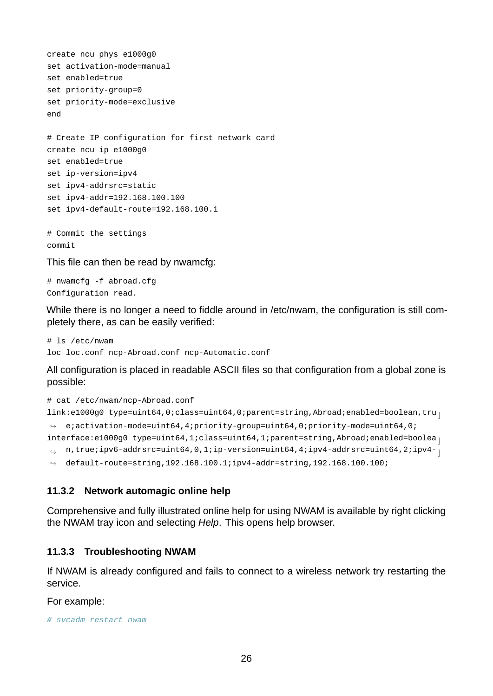```
create ncu phys e1000g0
set activation-mode=manual
set enabled=true
set priority-group=0
set priority-mode=exclusive
end
# Create IP configuration for first network card
create ncu ip e1000g0
set enabled=true
set ip-version=ipv4
set ipv4-addrsrc=static
set ipv4-addr=192.168.100.100
set ipv4-default-route=192.168.100.1
# Commit the settings
commit
```
This file can then be read by nwamcfg:

# nwamcfg -f abroad.cfg Configuration read.

While there is no longer a need to fiddle around in /etc/nwam, the configuration is still completely there, as can be easily verified:

```
# ls /etc/nwam
loc loc.conf ncp-Abroad.conf ncp-Automatic.conf
```
All configuration is placed in readable ASCII files so that configuration from a global zone is possible:

```
# cat /etc/nwam/ncp-Abroad.conf
link:e1000g0 type=uint64,0;class=uint64,0;parent=string,Abroad;enabled=boolean,tru
\rightarrow e;activation-mode=uint64,4;priority-group=uint64,0;priority-mode=uint64,0;
interface:e1000g0 type=uint64,1;class=uint64,1;parent=string,Abroad;enabled=boolea
 \mathfrak{p} \, n,true;ipv6-addrsrc=uint64,0,1;ip-version=uint64,4;ipv4-addrsrc=uint64,2;ipv4- _{\rm \parallel}default-route=string,192.168.100.1;ipv4-addr=string,192.168.100.100;
\hookrightarrow
```
### <span id="page-25-0"></span>**11.3.2 Network automagic online help**

Comprehensive and fully illustrated online help for using NWAM is available by right clicking the NWAM tray icon and selecting *Help*. This opens help browser.

#### **11.3.3 Troubleshooting NWAM**

If NWAM is already configured and fails to connect to a wireless network try restarting the service.

For example:

*# svcadm restart nwam*